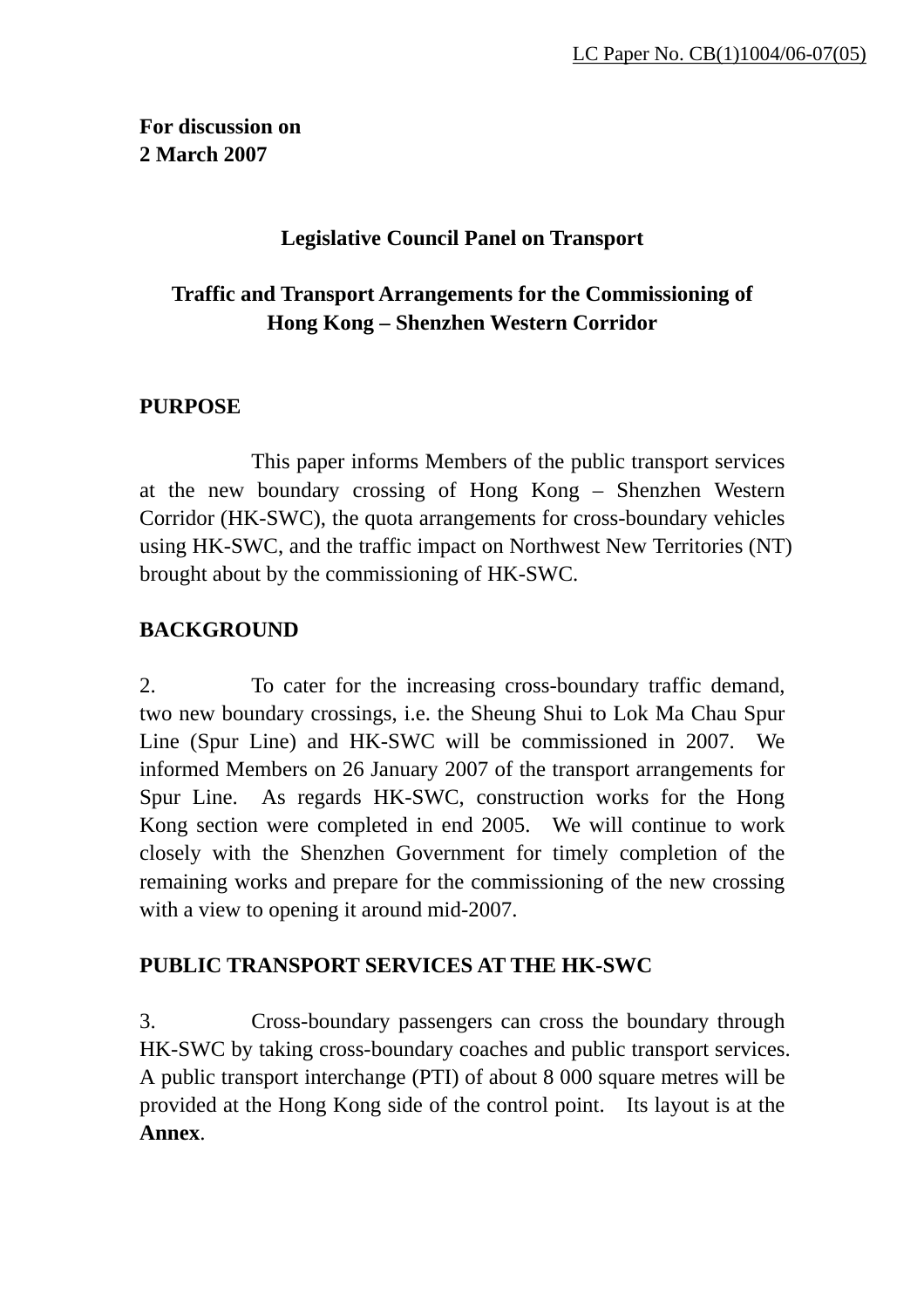# **For discussion on 2 March 2007**

### **Legislative Council Panel on Transport**

# **Traffic and Transport Arrangements for the Commissioning of Hong Kong – Shenzhen Western Corridor**

#### **PURPOSE**

 This paper informs Members of the public transport services at the new boundary crossing of Hong Kong – Shenzhen Western Corridor (HK-SWC), the quota arrangements for cross-boundary vehicles using HK-SWC, and the traffic impact on Northwest New Territories (NT) brought about by the commissioning of HK-SWC.

### **BACKGROUND**

2. To cater for the increasing cross-boundary traffic demand, two new boundary crossings, i.e. the Sheung Shui to Lok Ma Chau Spur Line (Spur Line) and HK-SWC will be commissioned in 2007. We informed Members on 26 January 2007 of the transport arrangements for Spur Line. As regards HK-SWC, construction works for the Hong Kong section were completed in end 2005. We will continue to work closely with the Shenzhen Government for timely completion of the remaining works and prepare for the commissioning of the new crossing with a view to opening it around mid-2007.

### **PUBLIC TRANSPORT SERVICES AT THE HK-SWC**

3. Cross-boundary passengers can cross the boundary through HK-SWC by taking cross-boundary coaches and public transport services. A public transport interchange (PTI) of about 8 000 square metres will be provided at the Hong Kong side of the control point. Its layout is at the **Annex**.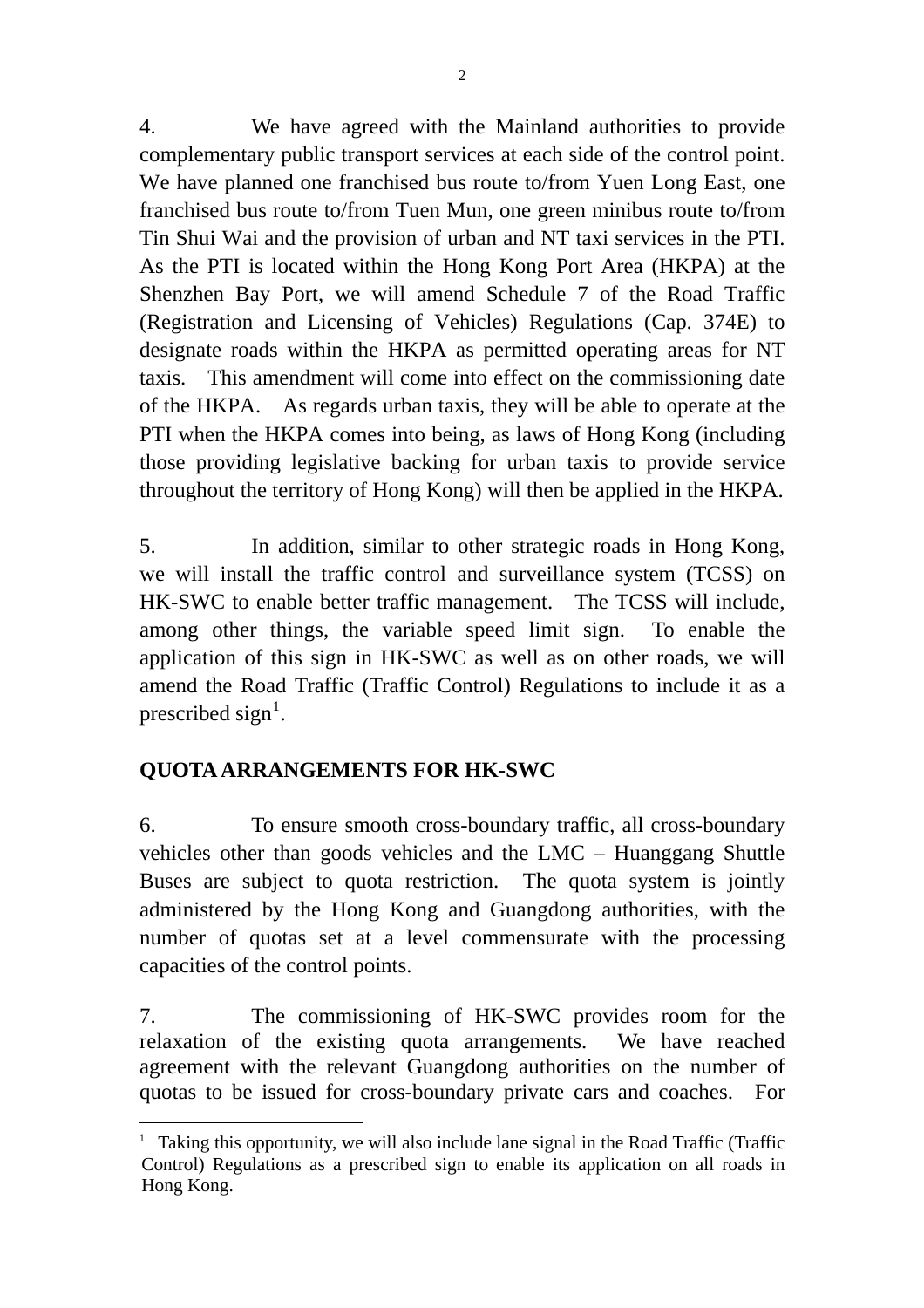4. We have agreed with the Mainland authorities to provide complementary public transport services at each side of the control point. We have planned one franchised bus route to/from Yuen Long East, one franchised bus route to/from Tuen Mun, one green minibus route to/from Tin Shui Wai and the provision of urban and NT taxi services in the PTI. As the PTI is located within the Hong Kong Port Area (HKPA) at the Shenzhen Bay Port, we will amend Schedule 7 of the Road Traffic (Registration and Licensing of Vehicles) Regulations (Cap. 374E) to designate roads within the HKPA as permitted operating areas for NT taxis. This amendment will come into effect on the commissioning date of the HKPA. As regards urban taxis, they will be able to operate at the PTI when the HKPA comes into being, as laws of Hong Kong (including those providing legislative backing for urban taxis to provide service throughout the territory of Hong Kong) will then be applied in the HKPA.

5. In addition, similar to other strategic roads in Hong Kong, we will install the traffic control and surveillance system (TCSS) on HK-SWC to enable better traffic management. The TCSS will include, among other things, the variable speed limit sign. To enable the application of this sign in HK-SWC as well as on other roads, we will amend the Road Traffic (Traffic Control) Regulations to include it as a prescribed sign<sup>[1](#page-1-0)</sup>.

# **QUOTA ARRANGEMENTS FOR HK-SWC**

6. To ensure smooth cross-boundary traffic, all cross-boundary vehicles other than goods vehicles and the LMC – Huanggang Shuttle Buses are subject to quota restriction. The quota system is jointly administered by the Hong Kong and Guangdong authorities, with the number of quotas set at a level commensurate with the processing capacities of the control points.

7. The commissioning of HK-SWC provides room for the relaxation of the existing quota arrangements. We have reached agreement with the relevant Guangdong authorities on the number of quotas to be issued for cross-boundary private cars and coaches. For

<span id="page-1-0"></span> $\overline{a}$ <sup>1</sup> Taking this opportunity, we will also include lane signal in the Road Traffic (Traffic Control) Regulations as a prescribed sign to enable its application on all roads in Hong Kong.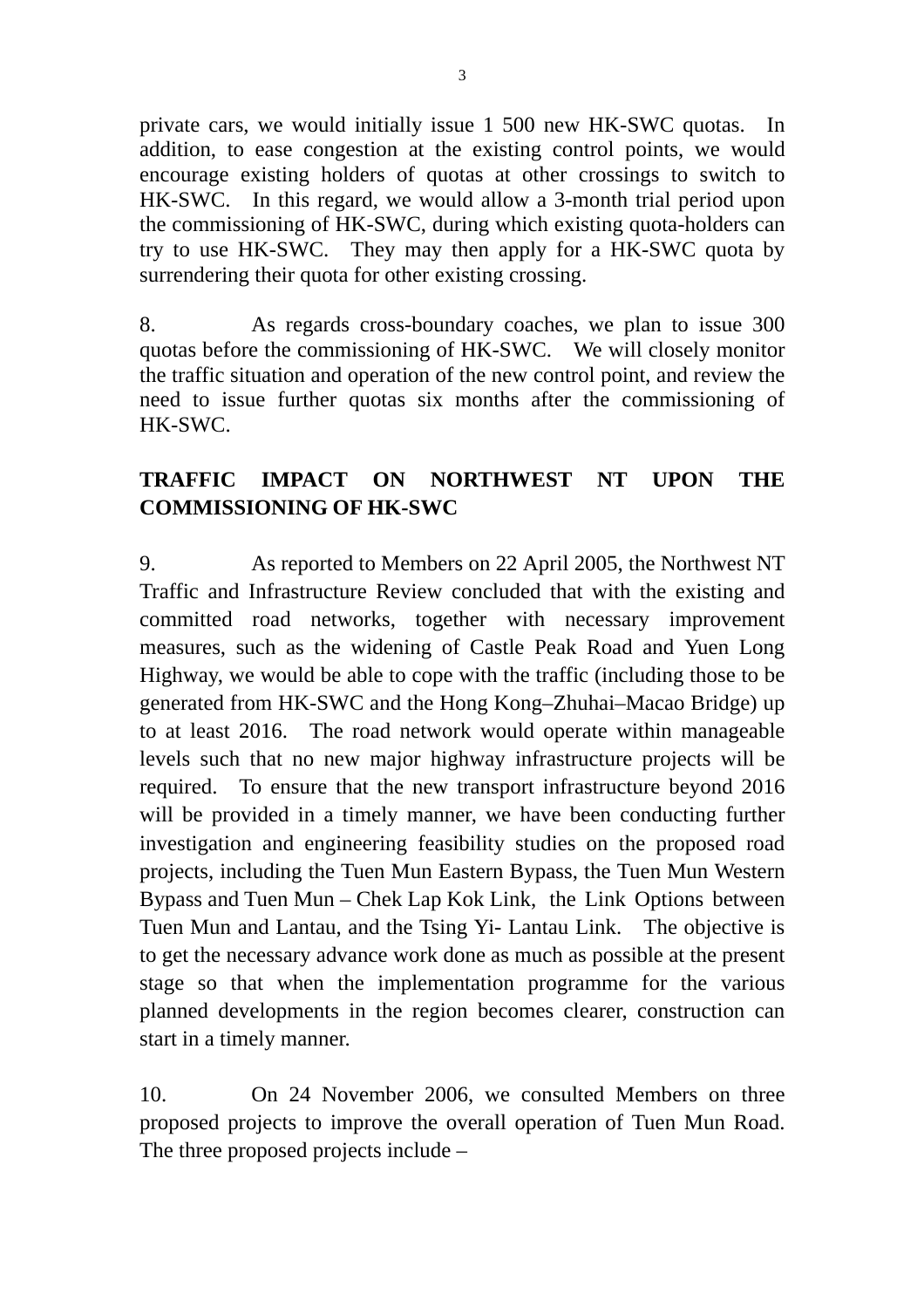private cars, we would initially issue 1 500 new HK-SWC quotas. In addition, to ease congestion at the existing control points, we would encourage existing holders of quotas at other crossings to switch to HK-SWC. In this regard, we would allow a 3-month trial period upon the commissioning of HK-SWC, during which existing quota-holders can try to use HK-SWC. They may then apply for a HK-SWC quota by surrendering their quota for other existing crossing.

8. As regards cross-boundary coaches, we plan to issue 300 quotas before the commissioning of HK-SWC. We will closely monitor the traffic situation and operation of the new control point, and review the need to issue further quotas six months after the commissioning of HK-SWC.

# **TRAFFIC IMPACT ON NORTHWEST NT UPON THE COMMISSIONING OF HK-SWC**

9. As reported to Members on 22 April 2005, the Northwest NT Traffic and Infrastructure Review concluded that with the existing and committed road networks, together with necessary improvement measures, such as the widening of Castle Peak Road and Yuen Long Highway, we would be able to cope with the traffic (including those to be generated from HK-SWC and the Hong Kong–Zhuhai–Macao Bridge) up to at least 2016. The road network would operate within manageable levels such that no new major highway infrastructure projects will be required. To ensure that the new transport infrastructure beyond 2016 will be provided in a timely manner, we have been conducting further investigation and engineering feasibility studies on the proposed road projects, including the Tuen Mun Eastern Bypass, the Tuen Mun Western Bypass and Tuen Mun – Chek Lap Kok Link, the Link Options between Tuen Mun and Lantau, and the Tsing Yi- Lantau Link. The objective is to get the necessary advance work done as much as possible at the present stage so that when the implementation programme for the various planned developments in the region becomes clearer, construction can start in a timely manner.

10. On 24 November 2006, we consulted Members on three proposed projects to improve the overall operation of Tuen Mun Road. The three proposed projects include –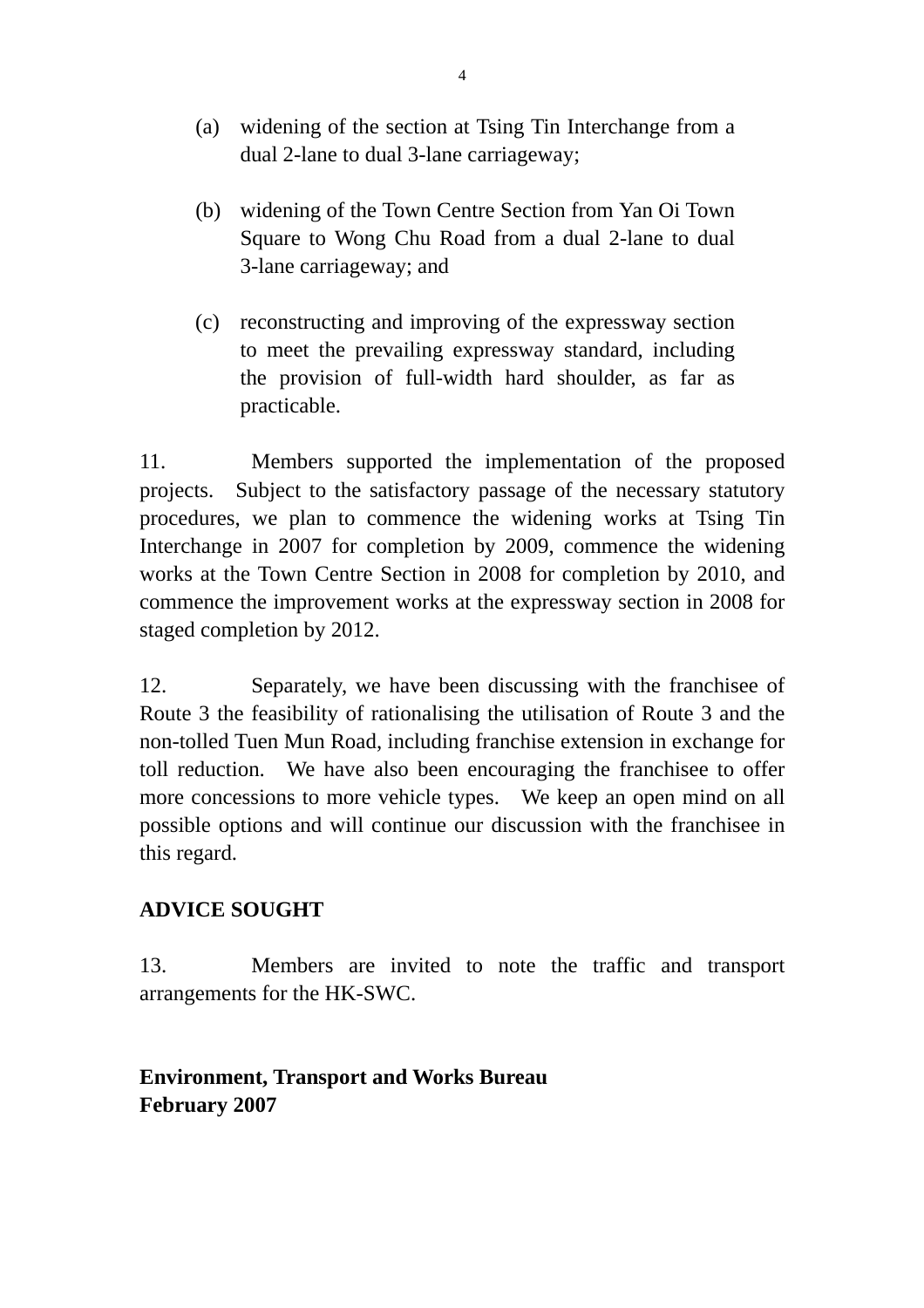- (a) widening of the section at Tsing Tin Interchange from a dual 2-lane to dual 3-lane carriageway;
- (b) widening of the Town Centre Section from Yan Oi Town Square to Wong Chu Road from a dual 2-lane to dual 3-lane carriageway; and
- (c) reconstructing and improving of the expressway section to meet the prevailing expressway standard, including the provision of full-width hard shoulder, as far as practicable.

11. Members supported the implementation of the proposed projects. Subject to the satisfactory passage of the necessary statutory procedures, we plan to commence the widening works at Tsing Tin Interchange in 2007 for completion by 2009, commence the widening works at the Town Centre Section in 2008 for completion by 2010, and commence the improvement works at the expressway section in 2008 for staged completion by 2012.

12. Separately, we have been discussing with the franchisee of Route 3 the feasibility of rationalising the utilisation of Route 3 and the non-tolled Tuen Mun Road, including franchise extension in exchange for toll reduction. We have also been encouraging the franchisee to offer more concessions to more vehicle types. We keep an open mind on all possible options and will continue our discussion with the franchisee in this regard.

### **ADVICE SOUGHT**

13. Members are invited to note the traffic and transport arrangements for the HK-SWC.

# **Environment, Transport and Works Bureau February 2007**